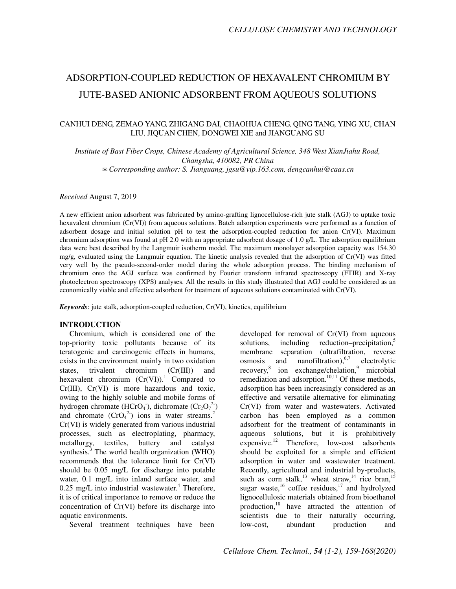# ADSORPTION-COUPLED REDUCTION OF HEXAVALENT CHROMIUM BY JUTE-BASED ANIONIC ADSORBENT FROM AQUEOUS SOLUTIONS

## CANHUI DENG, ZEMAO YANG, ZHIGANG DAI, CHAOHUA CHENG, QING TANG, YING XU, CHAN LIU, JIQUAN CHEN, DONGWEI XIE and JIANGUANG SU

*Institute of Bast Fiber Crops, Chinese Academy of Agricultural Science, 348 West XianJiahu Road, Changsha, 410082, PR China*  ✉*Corresponding author: S. Jianguang, jgsu@vip.163.com, dengcanhui@caas.cn* 

*Received* August 7, 2019

A new efficient anion adsorbent was fabricated by amino-grafting lignocellulose-rich jute stalk (AGJ) to uptake toxic hexavalent chromium (Cr(VI)) from aqueous solutions. Batch adsorption experiments were performed as a function of adsorbent dosage and initial solution pH to test the adsorption-coupled reduction for anion Cr(VI). Maximum chromium adsorption was found at pH 2.0 with an appropriate adsorbent dosage of 1.0 g/L. The adsorption equilibrium data were best described by the Langmuir isotherm model. The maximum monolayer adsorption capacity was 154.30 mg/g, evaluated using the Langmuir equation. The kinetic analysis revealed that the adsorption of Cr(VI) was fitted very well by the pseudo-second-order model during the whole adsorption process. The binding mechanism of chromium onto the AGJ surface was confirmed by Fourier transform infrared spectroscopy (FTIR) and X-ray photoelectron spectroscopy (XPS) analyses. All the results in this study illustrated that AGJ could be considered as an economically viable and effective adsorbent for treatment of aqueous solutions contaminated with Cr(VI).

*Keywords*: jute stalk, adsorption-coupled reduction, Cr(VI), kinetics, equilibrium

#### **INTRODUCTION**

Chromium, which is considered one of the top-priority toxic pollutants because of its teratogenic and carcinogenic effects in humans, exists in the environment mainly in two oxidation states, trivalent chromium (Cr(III)) and hexavalent chromium  $(Cr(VI))$ .<sup>1</sup> Compared to Cr(III), Cr(VI) is more hazardous and toxic, owing to the highly soluble and mobile forms of hydrogen chromate (HCrO<sub>4</sub><sup>\*</sup>), dichromate (Cr<sub>2</sub>O<sub>7</sub><sup>2</sup><sup>\*</sup>) and chromate  $(CrO<sub>4</sub><sup>2</sup>)$  ions in water streams.<sup>2</sup> Cr(VI) is widely generated from various industrial processes, such as electroplating, pharmacy, metallurgy, textiles, battery and catalyst synthesis.<sup>3</sup> The world health organization (WHO) recommends that the tolerance limit for Cr(VI) should be 0.05 mg/L for discharge into potable water, 0.1 mg/L into inland surface water, and  $0.25$  mg/L into industrial wastewater.<sup>4</sup> Therefore, it is of critical importance to remove or reduce the concentration of Cr(VI) before its discharge into aquatic environments.

Several treatment techniques have been

developed for removal of Cr(VI) from aqueous solutions, including reduction–precipitation, $5$ membrane separation (ultrafiltration, reverse osmosis and nanofiltration), $6,7$  electrolytic recovery,<sup>8</sup> ion exchange/chelation,<sup>9</sup> microbial remediation and adsorption. $10,11$  Of these methods, adsorption has been increasingly considered as an effective and versatile alternative for eliminating Cr(VI) from water and wastewaters. Activated carbon has been employed as a common adsorbent for the treatment of contaminants in aqueous solutions, but it is prohibitively expensive.<sup>12</sup> Therefore, low-cost adsorbents should be exploited for a simple and efficient adsorption in water and wastewater treatment. Recently, agricultural and industrial by-products, such as corn stalk,<sup>13</sup> wheat straw,<sup>14</sup> rice bran,<sup>15</sup> sugar waste,  $16$  coffee residues,  $17$  and hydrolyzed lignocellulosic materials obtained from bioethanol production,<sup>18</sup> have attracted the attention of scientists due to their naturally occurring, low-cost, abundant production and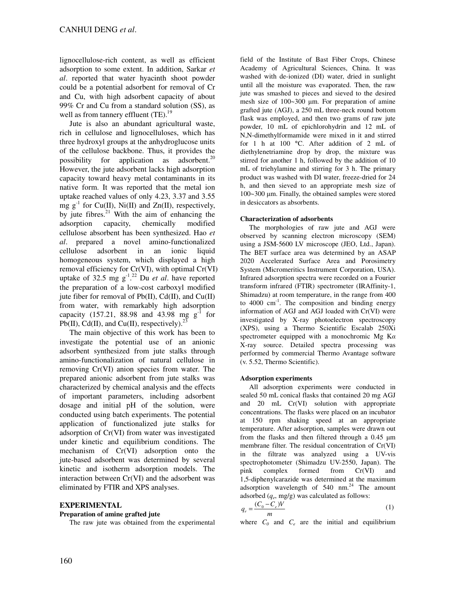lignocellulose-rich content, as well as efficient adsorption to some extent. In addition, Sarkar *et al*. reported that water hyacinth shoot powder could be a potential adsorbent for removal of Cr and Cu, with high adsorbent capacity of about 99% Cr and Cu from a standard solution (SS), as well as from tannery effluent  $(TE)$ .<sup>19</sup>

Jute is also an abundant agricultural waste, rich in cellulose and lignocelluloses, which has three hydroxyl groups at the anhydroglucose units of the cellulose backbone. Thus, it provides the possibility for application as adsorbent.<sup>20</sup> However, the jute adsorbent lacks high adsorption capacity toward heavy metal contaminants in its native form. It was reported that the metal ion uptake reached values of only 4.23, 3.37 and 3.55 mg  $g^{-1}$  for Cu(II), Ni(II) and Zn(II), respectively, by jute fibres. $^{21}$  With the aim of enhancing the adsorption capacity, chemically modified cellulose absorbent has been synthesized. Hao *et al*. prepared a novel amino-functionalized cellulose adsorbent in an ionic liquid homogeneous system, which displayed a high removal efficiency for Cr(VI), with optimal Cr(VI) uptake of 32.5 mg  $g^{-1}$ .<sup>22</sup> Du *et al*. have reported the preparation of a low-cost carboxyl modified jute fiber for removal of  $Pb(II)$ , Cd(II), and Cu(II) from water, with remarkably high adsorption capacity (157.21, 88.98 and 43.98 mg  $g^{-1}$  for Pb(II), Cd(II), and Cu(II), respectively).<sup>23</sup>

The main objective of this work has been to investigate the potential use of an anionic adsorbent synthesized from jute stalks through amino-functionalization of natural cellulose in removing Cr(VI) anion species from water. The prepared anionic adsorbent from jute stalks was characterized by chemical analysis and the effects of important parameters, including adsorbent dosage and initial pH of the solution, were conducted using batch experiments. The potential application of functionalized jute stalks for adsorption of Cr(VI) from water was investigated under kinetic and equilibrium conditions. The mechanism of Cr(VI) adsorption onto the jute-based adsorbent was determined by several kinetic and isotherm adsorption models. The interaction between Cr(VI) and the adsorbent was eliminated by FTIR and XPS analyses.

### **EXPERIMENTAL**

#### **Preparation of amine grafted jute**

The raw jute was obtained from the experimental

field of the Institute of Bast Fiber Crops, Chinese Academy of Agricultural Sciences, China. It was washed with de-ionized (DI) water, dried in sunlight until all the moisture was evaporated. Then, the raw jute was smashed to pieces and sieved to the desired mesh size of 100~300 µm. For preparation of amine grafted jute (AGJ), a 250 mL three-neck round bottom flask was employed, and then two grams of raw jute powder, 10 mL of epichlorohydrin and 12 mL of N,N-dimethylformamide were mixed in it and stirred for 1 h at 100 °C. After addition of 2 mL of diethylenetriamine drop by drop, the mixture was stirred for another 1 h, followed by the addition of 10 mL of triehylamine and stirring for 3 h. The primary product was washed with DI water, freeze-dried for 24 h, and then sieved to an appropriate mesh size of 100~300 µm. Finally, the obtained samples were stored in desiccators as absorbents.

#### **Characterization of adsorbents**

The morphologies of raw jute and AGJ were observed by scanning electron microscopy (SEM) using a JSM-5600 LV microscope (JEO, Ltd., Japan). The BET surface area was determined by an ASAP 2020 Accelerated Surface Area and Porosimetry System (Micromeritics Instrument Corporation, USA). Infrared adsorption spectra were recorded on a Fourier transform infrared (FTIR) spectrometer (IRAffinity-1, Shimadzu) at room temperature, in the range from 400 to  $4000 \text{ cm}^{-1}$ . The composition and binding energy information of AGJ and AGJ loaded with Cr(VI) were investigated by X-ray photoelectron spectroscopy (XPS), using a Thermo Scientific Escalab 250Xi spectrometer equipped with a monochromic Mg  $Ka$ X-ray source. Detailed spectra processing was performed by commercial Thermo Avantage software (v. 5.52, Thermo Scientific).

#### **Adsorption experiments**

All adsorption experiments were conducted in sealed 50 mL conical flasks that contained 20 mg AGJ and 20 mL Cr(VI) solution with appropriate concentrations. The flasks were placed on an incubator at 150 rpm shaking speed at an appropriate temperature. After adsorption, samples were drawn out from the flasks and then filtered through a 0.45 µm membrane filter. The residual concentration of Cr(VI) in the filtrate was analyzed using a UV-vis spectrophotometer (Shimadzu UV-2550, Japan). The pink complex formed from Cr(VI) and 1,5-diphenylcarazide was determined at the maximum adsorption wavelength of  $540$  nm.<sup>24</sup> The amount adsorbed (*q<sup>e</sup>* , mg/g) was calculated as follows:

$$
q_e = \frac{(C_0 - C_e)V}{m} \tag{1}
$$

where  $C_0$  and  $C_e$  are the initial and equilibrium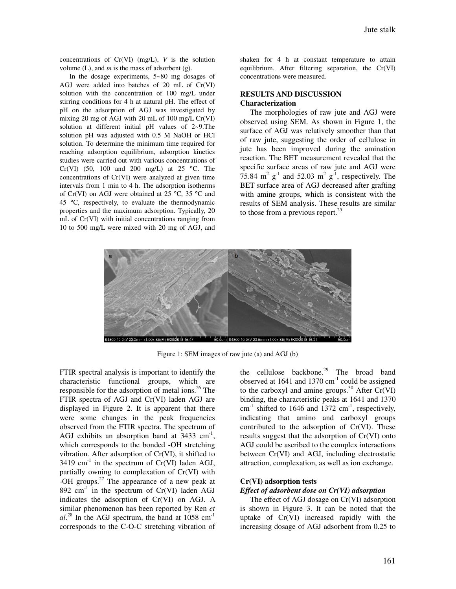concentrations of Cr(VI) (mg/L), *V* is the solution volume (L), and *m* is the mass of adsorbent (g).

In the dosage experiments, 5~80 mg dosages of AGJ were added into batches of 20 mL of Cr(VI) solution with the concentration of 100 mg/L under stirring conditions for 4 h at natural pH. The effect of pH on the adsorption of AGJ was investigated by mixing 20 mg of AGJ with 20 mL of 100 mg/L Cr(VI) solution at different initial pH values of 2~9.The solution pH was adjusted with 0.5 M NaOH or HCl solution. To determine the minimum time required for reaching adsorption equilibrium, adsorption kinetics studies were carried out with various concentrations of Cr(VI) (50, 100 and 200 mg/L) at 25 °C. The concentrations of Cr(VI) were analyzed at given time intervals from 1 min to 4 h. The adsorption isotherms of Cr(VI) on AGJ were obtained at 25  $^{\circ}$ C, 35  $^{\circ}$ C and 45 °C, respectively, to evaluate the thermodynamic properties and the maximum adsorption. Typically, 20 mL of Cr(VI) with initial concentrations ranging from 10 to 500 mg/L were mixed with 20 mg of AGJ, and shaken for 4 h at constant temperature to attain equilibrium. After filtering separation, the Cr(VI) concentrations were measured.

#### **RESULTS AND DISCUSSION Characterization**

The morphologies of raw jute and AGJ were observed using SEM. As shown in Figure 1, the surface of AGJ was relatively smoother than that of raw jute, suggesting the order of cellulose in jute has been improved during the amination reaction. The BET measurement revealed that the specific surface areas of raw jute and AGJ were 75.84  $m^2$   $g^{-1}$  and 52.03  $m^2$   $g^{-1}$ , respectively. The BET surface area of AGJ decreased after grafting with amine groups, which is consistent with the results of SEM analysis. These results are similar to those from a previous report. $25$ 



Figure 1: SEM images of raw jute (a) and AGJ (b)

FTIR spectral analysis is important to identify the characteristic functional groups, which are responsible for the adsorption of metal ions.<sup>26</sup> The FTIR spectra of AGJ and Cr(VI) laden AGJ are displayed in Figure 2. It is apparent that there were some changes in the peak frequencies observed from the FTIR spectra. The spectrum of AGJ exhibits an absorption band at  $3433 \text{ cm}^{-1}$ , which corresponds to the bonded -OH stretching vibration. After adsorption of Cr(VI), it shifted to  $3419 \text{ cm}^{-1}$  in the spectrum of Cr(VI) laden AGJ, partially owning to complexation of Cr(VI) with -OH groups. $27$  The appearance of a new peak at 892  $cm^{-1}$  in the spectrum of Cr(VI) laden AGJ indicates the adsorption of Cr(VI) on AGJ. A similar phenomenon has been reported by Ren *et*   $al.^{28}$  In the AGJ spectrum, the band at 1058 cm<sup>-1</sup> corresponds to the C-O-C stretching vibration of the cellulose backbone.<sup>29</sup> The broad band observed at 1641 and 1370  $cm^{-1}$  could be assigned to the carboxyl and amine groups.<sup>30</sup> After  $Cr(VI)$ binding, the characteristic peaks at 1641 and 1370  $cm^{-1}$  shifted to 1646 and 1372  $cm^{-1}$ , respectively, indicating that amino and carboxyl groups contributed to the adsorption of Cr(VI). These results suggest that the adsorption of Cr(VI) onto AGJ could be ascribed to the complex interactions between Cr(VI) and AGJ, including electrostatic attraction, complexation, as well as ion exchange.

#### **Cr(VI) adsorption tests**

#### *Effect of adsorbent dose on Cr(VI) adsorption*

The effect of AGJ dosage on Cr(VI) adsorption is shown in Figure 3. It can be noted that the uptake of Cr(VI) increased rapidly with the increasing dosage of AGJ adsorbent from 0.25 to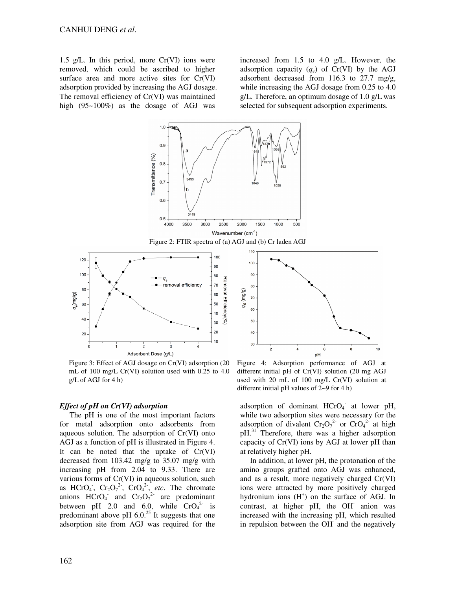1.5 g/L. In this period, more  $Cr(VI)$  ions were removed, which could be ascribed to higher surface area and more active sites for Cr(VI) adsorption provided by increasing the AGJ dosage. The removal efficiency of Cr(VI) was maintained high (95~100%) as the dosage of AGJ was

increased from 1.5 to 4.0 g/L. However, the adsorption capacity  $(q_e)$  of Cr(VI) by the AGJ adsorbent decreased from 116.3 to 27.7 mg/g, while increasing the AGJ dosage from 0.25 to 4.0 g/L. Therefore, an optimum dosage of 1.0 g/L was selected for subsequent adsorption experiments.



Figure 3: Effect of AGJ dosage on Cr(VI) adsorption (20 mL of 100 mg/L Cr(VI) solution used with 0.25 to 4.0 g/L of AGJ for 4 h)

#### *Effect of pH on Cr(VI) adsorption*

The pH is one of the most important factors for metal adsorption onto adsorbents from aqueous solution. The adsorption of Cr(VI) onto AGJ as a function of pH is illustrated in Figure 4. It can be noted that the uptake of Cr(VI) decreased from 103.42 mg/g to 35.07 mg/g with increasing pH from 2.04 to 9.33. There are various forms of Cr(VI) in aqueous solution, such as HCrO<sub>4</sub>,  $Cr_2O_7^{2}$ ,  $CrO_4^{2}$ , *etc*. The chromate anions  $HCrO<sub>4</sub>$  and  $Cr_2O<sub>7</sub><sup>2</sup>$  are predominant between pH 2.0 and 6.0, while  $CrO<sub>4</sub><sup>2-</sup>$  is predominant above pH  $6.0^{25}$  It suggests that one adsorption site from AGJ was required for the



different initial pH of Cr(VI) solution (20 mg AGJ used with 20 mL of 100 mg/L Cr(VI) solution at different initial pH values of 2~9 for 4 h)

adsorption of dominant HCrO<sub>4</sub> at lower pH, while two adsorption sites were necessary for the adsorption of divalent  $Cr_2O_7^{2-}$  or  $CrO_4^{2-}$  at high  $pH<sup>31</sup>$  Therefore, there was a higher adsorption capacity of Cr(VI) ions by AGJ at lower pH than at relatively higher pH.

In addition, at lower pH, the protonation of the amino groups grafted onto AGJ was enhanced, and as a result, more negatively charged Cr(VI) ions were attracted by more positively charged hydronium ions  $(H<sup>+</sup>)$  on the surface of AGJ. In contrast, at higher pH, the OH<sup>-</sup> anion was increased with the increasing pH, which resulted in repulsion between the OH<sup>-</sup> and the negatively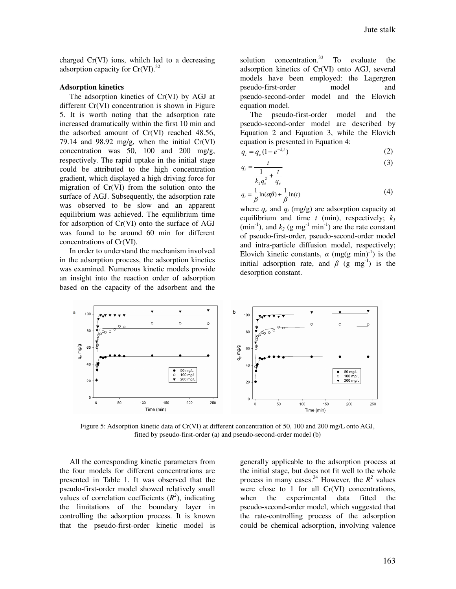charged Cr(VI) ions, whilch led to a decreasing adsorption capacity for  $Cr(VI).$ <sup>32</sup>

#### **Adsorption kinetics**

The adsorption kinetics of Cr(VI) by AGJ at different Cr(VI) concentration is shown in Figure 5. It is worth noting that the adsorption rate increased dramatically within the first 10 min and the adsorbed amount of Cr(VI) reached 48.56, 79.14 and 98.92 mg/g, when the initial  $Cr(VI)$ concentration was 50, 100 and 200 mg/g, respectively. The rapid uptake in the initial stage could be attributed to the high concentration gradient, which displayed a high driving force for migration of Cr(VI) from the solution onto the surface of AGJ. Subsequently, the adsorption rate was observed to be slow and an apparent equilibrium was achieved. The equilibrium time for adsorption of Cr(VI) onto the surface of AGJ was found to be around 60 min for different concentrations of Cr(VI).

In order to understand the mechanism involved in the adsorption process, the adsorption kinetics was examined. Numerous kinetic models provide an insight into the reaction order of adsorption based on the capacity of the adsorbent and the

solution concentration. $33$  To evaluate the adsorption kinetics of Cr(VI) onto AGJ, several models have been employed: the Lagergren pseudo-first-order model and pseudo-second-order model and the Elovich equation model.

The pseudo-first-order model and the pseudo-second-order model are described by Equation 2 and Equation 3, while the Elovich equation is presented in Equation 4:

$$
q_t = q_e (1 - e^{-k_t t})
$$
 (2)

$$
=\frac{t}{\frac{1}{\cdot \cdot \cdot^2} + \frac{t}{\cdot}}\tag{3}
$$

$$
k_2 q_e^2 + q_e
$$
  
 
$$
q_t = \frac{1}{\beta} \ln(\alpha \beta) + \frac{1}{\beta} \ln(t)
$$
 (4)

where  $q_e$  and  $q_t$  (mg/g) are adsorption capacity at equilibrium and time  $t$  (min), respectively;  $k_l$  $(\text{min}^{-1})$ , and  $k_2$  (g mg<sup>-1</sup> min<sup>-1</sup>) are the rate constant of pseudo-first-order, pseudo-second-order model and intra-particle diffusion model, respectively; Elovich kinetic constants,  $\alpha$  (mg(g min)<sup>-1</sup>) is the initial adsorption rate, and  $\beta$  (g mg<sup>-1</sup>) is the desorption constant.



*t q*

Figure 5: Adsorption kinetic data of Cr(VI) at different concentration of 50, 100 and 200 mg/L onto AGJ, fitted by pseudo-first-order (a) and pseudo-second-order model (b)

All the corresponding kinetic parameters from the four models for different concentrations are presented in Table 1. It was observed that the pseudo-first-order model showed relatively small values of correlation coefficients  $(R^2)$ , indicating the limitations of the boundary layer in controlling the adsorption process. It is known that the pseudo-first-order kinetic model is

generally applicable to the adsorption process at the initial stage, but does not fit well to the whole process in many cases.<sup>34</sup> However, the  $R^2$  values were close to 1 for all Cr(VI) concentrations, when the experimental data fitted the pseudo-second-order model, which suggested that the rate-controlling process of the adsorption could be chemical adsorption, involving valence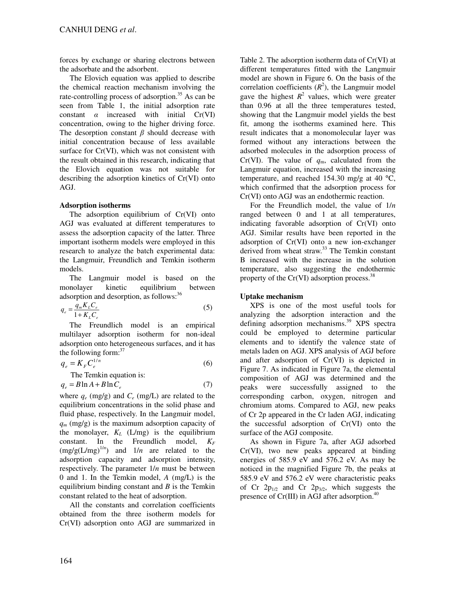forces by exchange or sharing electrons between the adsorbate and the adsorbent.

The Elovich equation was applied to describe the chemical reaction mechanism involving the rate-controlling process of adsorption.<sup>35</sup> As can be seen from Table 1, the initial adsorption rate constant  $\alpha$  increased with initial  $Cr(VI)$ concentration, owing to the higher driving force. The desorption constant  $\beta$  should decrease with initial concentration because of less available surface for Cr(VI), which was not consistent with the result obtained in this research, indicating that the Elovich equation was not suitable for describing the adsorption kinetics of Cr(VI) onto AGJ.

## **Adsorption isotherms**

The adsorption equilibrium of Cr(VI) onto AGJ was evaluated at different temperatures to assess the adsorption capacity of the latter. Three important isotherm models were employed in this research to analyze the batch experimental data: the Langmuir, Freundlich and Temkin isotherm models.

The Langmuir model is based on the monolayer kinetic equilibrium between adsorption and desorption, as follows:<sup>36</sup>

$$
q_e = \frac{q_m K_L C_e}{1 + K_L C_e} \tag{5}
$$

The Freundlich model is an empirical multilayer adsorption isotherm for non-ideal adsorption onto heterogeneous surfaces, and it has the following form: $37$ 

$$
q_e = K_F C_e^{1/n} \tag{6}
$$

The Temkin equation is:

$$
q_e = B \ln A + B \ln C_e \tag{7}
$$

where  $q_e$  (mg/g) and  $C_e$  (mg/L) are related to the equilibrium concentrations in the solid phase and fluid phase, respectively. In the Langmuir model, *q<sup>m</sup>* (mg/g) is the maximum adsorption capacity of the monolayer,  $K_L$  (L/mg) is the equilibrium constant. In the Freundlich model,  $K_F$  $(mg/g(L/mg)^{1/n})$  and  $1/n$  are related to the adsorption capacity and adsorption intensity, respectively. The parameter 1/*n* must be between 0 and 1. In the Temkin model, *A* (mg/L) is the equilibrium binding constant and *B* is the Temkin constant related to the heat of adsorption.

All the constants and correlation coefficients obtained from the three isotherm models for Cr(VI) adsorption onto AGJ are summarized in

Table 2. The adsorption isotherm data of Cr(VI) at different temperatures fitted with the Langmuir model are shown in Figure 6. On the basis of the correlation coefficients  $(R^2)$ , the Langmuir model gave the highest  $R^2$  values, which were greater than 0.96 at all the three temperatures tested, showing that the Langmuir model yields the best fit, among the isotherms examined here. This result indicates that a monomolecular layer was formed without any interactions between the adsorbed molecules in the adsorption process of Cr(VI). The value of  $q_m$ , calculated from the Langmuir equation, increased with the increasing temperature, and reached 154.30 mg/g at 40  $^{\circ}$ C, which confirmed that the adsorption process for Cr(VI) onto AGJ was an endothermic reaction.

For the Freundlich model, the value of 1/*n* ranged between 0 and 1 at all temperatures, indicating favorable adsorption of Cr(VI) onto AGJ. Similar results have been reported in the adsorption of Cr(VI) onto a new ion-exchanger derived from wheat straw.<sup>33</sup> The Temkin constant B increased with the increase in the solution temperature, also suggesting the endothermic property of the  $Cr(VI)$  adsorption process.<sup>38</sup>

## **Uptake mechanism**

XPS is one of the most useful tools for analyzing the adsorption interaction and the defining adsorption mechanisms.<sup>39</sup> XPS spectra could be employed to determine particular elements and to identify the valence state of metals laden on AGJ. XPS analysis of AGJ before and after adsorption of Cr(VI) is depicted in Figure 7. As indicated in Figure 7a, the elemental composition of AGJ was determined and the peaks were successfully assigned to the corresponding carbon, oxygen, nitrogen and chromium atoms. Compared to AGJ, new peaks of Cr 2p appeared in the Cr laden AGJ, indicating the successful adsorption of Cr(VI) onto the surface of the AGJ composite.

As shown in Figure 7a, after AGJ adsorbed Cr(VI), two new peaks appeared at binding energies of 585.9 eV and 576.2 eV. As may be noticed in the magnified Figure 7b, the peaks at 585.9 eV and 576.2 eV were characteristic peaks of Cr  $2p_{1/2}$  and Cr  $2p_{3/2}$ , which suggests the presence of  $Cr(III)$  in AGJ after adsorption.<sup>40</sup>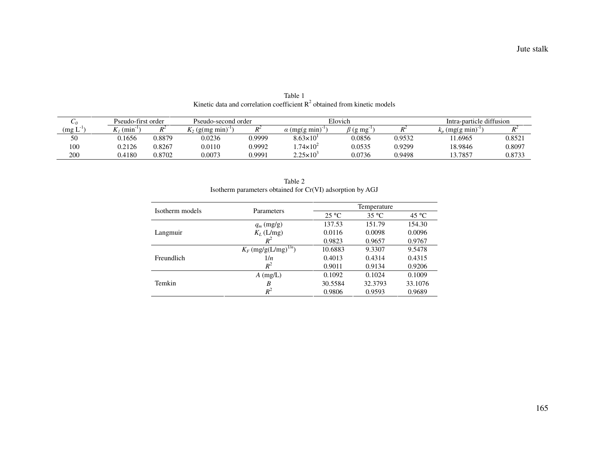| $\mathsf{U}$                        | Pseudo-first order |                | Pseudo-second order |        | Elovich              |                              |                | Intra-particle diffusion |        |
|-------------------------------------|--------------------|----------------|---------------------|--------|----------------------|------------------------------|----------------|--------------------------|--------|
| $\mathbf{r}$ = 1 $\times$<br>(mg L) | $(min^{-1})$       | D <sup>2</sup> | $K_2$ (g(mg min)    |        | $\alpha$ (mg(g min)  | $\beta$ (g mg <sup>-1)</sup> | $\mathbf{D}^2$ | $(mg(g \, mn))$          | $R^2$  |
| 50                                  | 0.1656             | 0.8879         | 0.0236              | 0.9999 | $8.63\times10^{1}$   | 0.0856                       | 0.9532         | 11.6965                  | 0.852  |
| 100                                 | 0.2126             | 0.8267         | 0.0110              | 0.9992 | $1.74\times10^{2}$   | 0.0535                       | 0.9299         | 18.9846                  | 0.8097 |
| 200                                 | 0.4180             | 0.8702         | 0.0073              | 0.9991 | $2.25 \times 10^{3}$ | 0.0736                       | 0.9498         | 13.7857                  | 0.8733 |

Table 1 Kinetic data and correlation coefficient  $R^2$  obtained from kinetic models

|                 | Isotherm parameters obtained for Cr(VI) adsorption by AGJ |                 |                                                                                                           |                |  |
|-----------------|-----------------------------------------------------------|-----------------|-----------------------------------------------------------------------------------------------------------|----------------|--|
| Isotherm models |                                                           |                 | Temperature                                                                                               |                |  |
|                 | Parameters                                                | $25 \text{ °C}$ | $35^{\circ}$ C<br>151.79<br>0.0098<br>0.9657<br>9.3307<br>0.4314<br>0.9134<br>0.1024<br>32.3793<br>0.9593 | $45^{\circ}$ C |  |
|                 | $q_m$ (mg/g)                                              | 137.53          |                                                                                                           | 154.30         |  |
| Langmuir        | $K_L$ (L/mg)                                              | 0.0116          |                                                                                                           | 0.0096         |  |
|                 | $R^2$                                                     | 0.9823          |                                                                                                           | 0.9767         |  |
|                 | $K_F$ (mg/g(L/mg) <sup>1/n</sup> )                        | 10.6883         |                                                                                                           | 9.5478         |  |
| Freundlich      | 1/n                                                       | 0.4013          |                                                                                                           | 0.4315         |  |
|                 | $R^2$                                                     | 0.9011          |                                                                                                           | 0.9206         |  |
|                 | $A$ (mg/L)                                                | 0.1092          |                                                                                                           | 0.1009         |  |
| Temkin          | B                                                         | 30.5584         |                                                                                                           | 33.1076        |  |
|                 | $R^2$                                                     | 0.9806          |                                                                                                           | 0.9689         |  |

Table 2 Isotherm parameters obtained for Cr(VI) adsorption by AGJ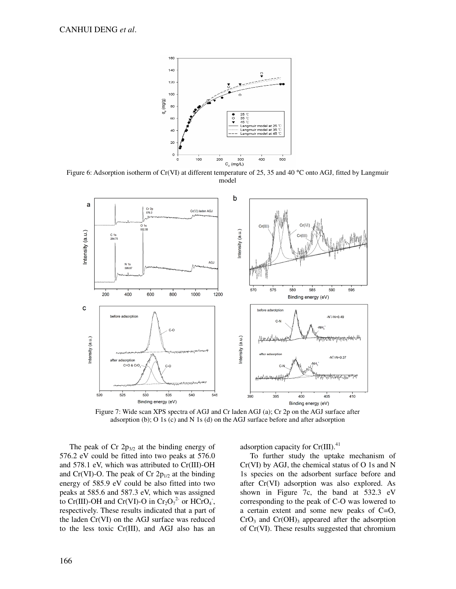

Figure 6: Adsorption isotherm of Cr(VI) at different temperature of 25, 35 and 40 °C onto AGJ, fitted by Langmuir model



Figure 7: Wide scan XPS spectra of AGJ and Cr laden AGJ (a); Cr 2p on the AGJ surface after adsorption (b); O 1s (c) and N 1s (d) on the AGJ surface before and after adsorption

The peak of Cr  $2p_{3/2}$  at the binding energy of 576.2 eV could be fitted into two peaks at 576.0 and 578.1 eV, which was attributed to Cr(III)-OH and Cr(VI)-O. The peak of Cr  $2p_{1/2}$  at the binding energy of 585.9 eV could be also fitted into two peaks at 585.6 and 587.3 eV, which was assigned to Cr(III)-OH and Cr(VI)-O in Cr<sub>2</sub>O<sub>7</sub><sup>2</sup> or HCrO<sub>4</sub>, respectively. These results indicated that a part of the laden Cr(VI) on the AGJ surface was reduced to the less toxic Cr(III), and AGJ also has an

adsorption capacity for  $Cr(III).<sup>41</sup>$ 

To further study the uptake mechanism of  $Cr(VI)$  by AGJ, the chemical status of O 1s and N 1s species on the adsorbent surface before and after Cr(VI) adsorption was also explored. As shown in Figure 7c, the band at 532.3 eV corresponding to the peak of C-O was lowered to a certain extent and some new peaks of C=O,  $CrO<sub>3</sub>$  and  $Cr(OH)<sub>3</sub>$  appeared after the adsorption of Cr(VI). These results suggested that chromium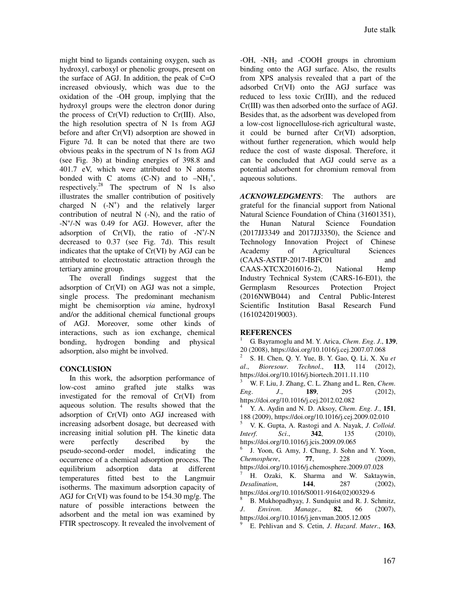might bind to ligands containing oxygen, such as hydroxyl, carboxyl or phenolic groups, present on the surface of AGJ. In addition, the peak of  $C=O$ increased obviously, which was due to the oxidation of the -OH group, implying that the hydroxyl groups were the electron donor during the process of Cr(VI) reduction to Cr(III). Also, the high resolution spectra of N 1s from AGJ before and after Cr(VI) adsorption are showed in Figure 7d. It can be noted that there are two obvious peaks in the spectrum of N 1s from AGJ (see Fig. 3b) at binding energies of 398.8 and 401.7 eV, which were attributed to N atoms bonded with C atoms  $(C-N)$  and to  $-NH_3^+$ , respectively.<sup>28</sup> The spectrum of N 1s also illustrates the smaller contribution of positively charged  $N$   $(-N^+)$  and the relatively larger contribution of neutral N (-N), and the ratio of -N<sup>+</sup>/-N was 0.49 for AGJ. However, after the adsorption of  $Cr(VI)$ , the ratio of  $-N^+/N$ decreased to 0.37 (see Fig. 7d). This result indicates that the uptake of Cr(VI) by AGJ can be attributed to electrostatic attraction through the tertiary amine group.

The overall findings suggest that the adsorption of Cr(VI) on AGJ was not a simple, single process. The predominant mechanism might be chemisorption *via* amine, hydroxyl and/or the additional chemical functional groups of AGJ. Moreover, some other kinds of interactions, such as ion exchange, chemical bonding, hydrogen bonding and physical adsorption, also might be involved.

## **CONCLUSION**

In this work, the adsorption performance of low-cost amino grafted jute stalks was investigated for the removal of Cr(VI) from aqueous solution. The results showed that the adsorption of Cr(VI) onto AGJ increased with increasing adsorbent dosage, but decreased with increasing initial solution pH. The kinetic data were perfectly described by the pseudo-second-order model, indicating the occurrence of a chemical adsorption process. The equilibrium adsorption data at different temperatures fitted best to the Langmuir isotherms. The maximum adsorption capacity of AGJ for Cr(VI) was found to be 154.30 mg/g. The nature of possible interactions between the adsorbent and the metal ion was examined by FTIR spectroscopy. It revealed the involvement of  $-OH$ ,  $-NH<sub>2</sub>$  and  $-COOH$  groups in chromium binding onto the AGJ surface. Also, the results from XPS analysis revealed that a part of the adsorbed Cr(VI) onto the AGJ surface was reduced to less toxic Cr(III), and the reduced Cr(III) was then adsorbed onto the surface of AGJ. Besides that, as the adsorbent was developed from a low-cost lignocellulose-rich agricultural waste, it could be burned after Cr(VI) adsorption, without further regeneration, which would help reduce the cost of waste disposal. Therefore, it can be concluded that AGJ could serve as a potential adsorbent for chromium removal from aqueous solutions.

*ACKNOWLEDGMENTS*: The authors are grateful for the financial support from National Natural Science Foundation of China (31601351), the Hunan Natural Science Foundation (2017JJ3349 and 2017JJ3350), the Science and Technology Innovation Project of Chinese Academy of Agricultural Sciences (CAAS-ASTIP-2017-IBFC01 and CAAS-XTCX2016016-2), National Hemp Industry Technical System (CARS-16-E01), the Germplasm Resources Protection Project (2016NWB044) and Central Public-Interest Scientific Institution Basal Research Fund (1610242019003).

## **REFERENCES**

2

6

<sup>1</sup> G. Bayramoglu and M. Y. Arica, *Chem*. *Eng*. *J*., **139**, 20 (2008), https://doi.org/10.1016/j.cej.2007.07.068 S. H. Chen, Q. Y. Yue, B. Y. Gao, Q. Li, X. Xu *et al*., *Bioresour*. *Technol*., **113**, 114 (2012), https://doi.org/10.1016/j.biortech.2011.11.110 <sup>3</sup> W. F. Liu, J. Zhang, C. L. Zhang and L. Ren, *Chem*. *Eng*. *J*., **189**, 295 (2012), https://doi.org/10.1016/j.cej.2012.02.082 <sup>4</sup> Y. A. Aydin and N. D. Aksoy, *Chem*. *Eng*. *J*., **151**, 188 (2009), https://doi.org/10.1016/j.cej.2009.02.010 <sup>5</sup> V. K. Gupta, A. Rastogi and A. Nayak, *J*. *Colloid*. *Interf*. *Sci*., **342**, 135 (2010), https://doi.org/10.1016/j.jcis.2009.09.065 J. Yoon, G. Amy, J. Chung, J. Sohn and Y. Yoon, *Chemosphere*, **77**, 228 (2009), https://doi.org/10.1016/j.chemosphere.2009.07.028 <sup>7</sup> H. Ozaki, K. Sharma and W. Saktaywin, *Desalination*, **144**, 287 (2002), https://doi.org/10.1016/S0011-9164(02)00329-6 <sup>8</sup> B. Mukhopadhyay, J. Sundquist and R. J. Schmitz,

*J*. *Environ*. *Manage*., **82**, 66 (2007), https://doi.org/10.1016/j.jenvman.2005.12.005 9

E. Pehlivan and S. Cetin, *J*. *Hazard*. *Mater*., **163**,